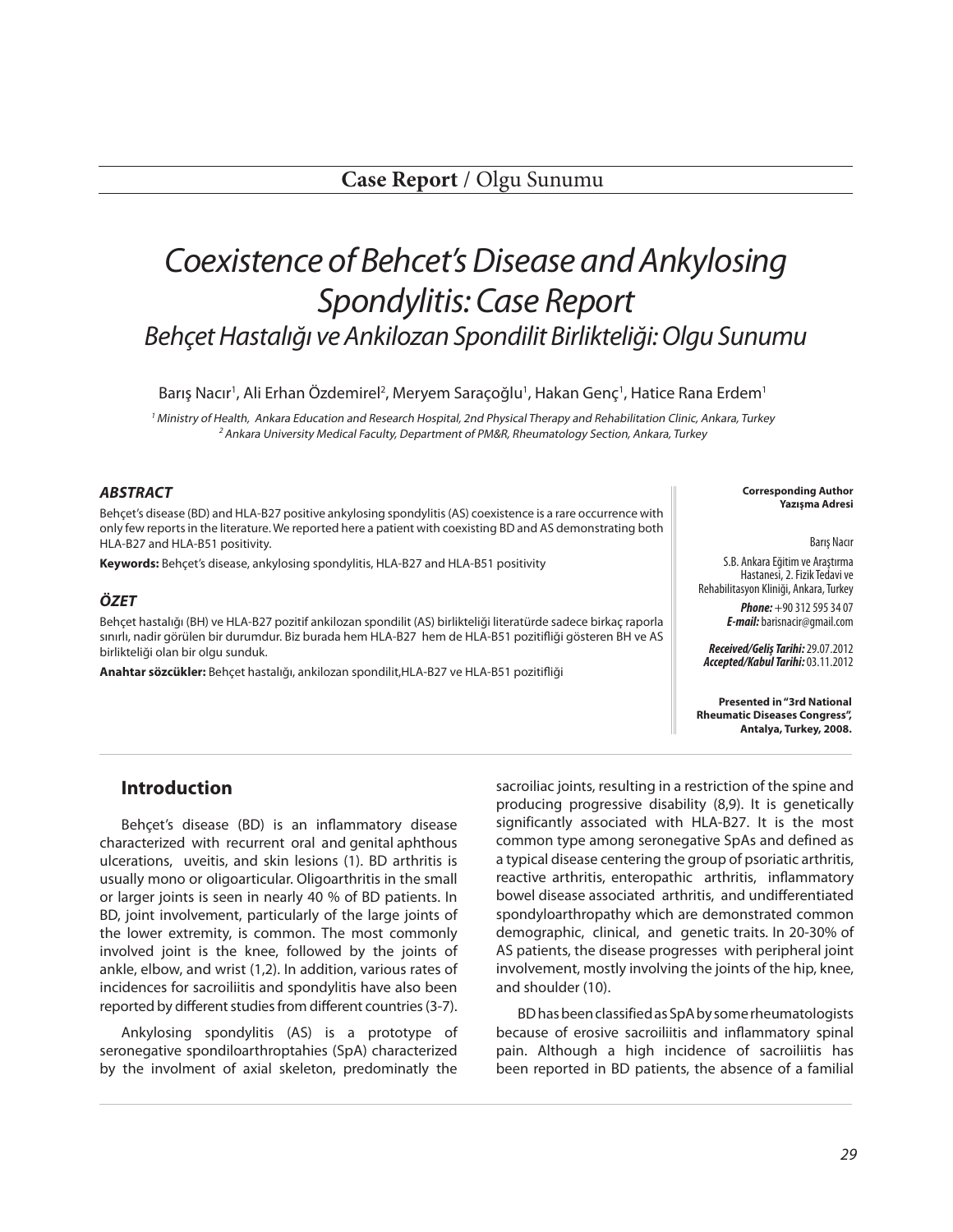# *Coexistence of Behcet's Disease and Ankylosing Spondylitis: Case Report Behçet Hastalığı ve Ankilozan Spondilit Birlikteliği: Olgu Sunumu*

Barış Nacır<sup>1</sup>, Ali Erhan Özdemirel<sup>2</sup>, Meryem Saraçoğlu<sup>1</sup>, Hakan Genç<sup>1</sup>, Hatice Rana Erdem<sup>1</sup>

<sup>1</sup> Ministry of Health, Ankara Education and Research Hospital, 2nd Physical Therapy and Rehabilitation Clinic, Ankara, Turkey <sup>2</sup> Ankara University Medical Faculty, Department of PM&R, Rheumatology Section, Ankara, Turkey

#### *ABSTRACT*

Behçet's disease (BD) and HLA-B27 positive ankylosing spondylitis (AS) coexistence is a rare occurrence with only few reports in the literature. We reported here a patient with coexisting BD and AS demonstrating both HLA-B27 and HLA-B51 positivity.

**Keywords:** Behçet's disease, ankylosing spondylitis, HLA-B27 and HLA-B51 positivity

#### *ÖZET*

Behçet hastalığı (BH) ve HLA-B27 pozitif ankilozan spondilit (AS) birlikteliği literatürde sadece birkaç raporla sınırlı, nadir görülen bir durumdur. Biz burada hem HLA-B27 hem de HLA-B51 pozitifliği gösteren BH ve AS birlikteliği olan bir olgu sunduk.

**Anahtar sözcükler:** Behçet hastalığı, ankilozan spondilit,HLA-B27 ve HLA-B51 pozitifliği

**Corresponding Author Yazışma Adresi** 

Barış Nacır

S.B. Ankara Eğitim ve Araştırma Hastanesi, 2. Fizik Tedavi ve Rehabilitasyon Kliniği, Ankara, Turkey

> *Phone:* +90 312 595 34 07 *E-mail:* barisnacir@gmail.com

*Received/Geliş Tarihi:* 29.07.2012 *Accepted/Kabul Tarihi:* 03.11.2012

**Presented in "3rd National Rheumatic Diseases Congress", Antalya, Turkey, 2008.**

# **Introduction**

Behçet's disease (BD) is an inflammatory disease characterized with recurrent oral and genital aphthous ulcerations, uveitis, and skin lesions (1). BD arthritis is usually mono or oligoarticular. Oligoarthritis in the small or larger joints is seen in nearly 40 % of BD patients. In BD, joint involvement, particularly of the large joints of the lower extremity, is common. The most commonly involved joint is the knee, followed by the joints of ankle, elbow, and wrist (1,2). In addition, various rates of incidences for sacroiliitis and spondylitis have also been reported by different studies from different countries (3-7).

Ankylosing spondylitis (AS) is a prototype of seronegative spondiloarthroptahies (SpA) characterized by the involment of axial skeleton, predominatly the sacroiliac joints, resulting in a restriction of the spine and producing progressive disability (8,9). It is genetically significantly associated with HLA-B27. It is the most common type among seronegative SpAs and defined as a typical disease centering the group of psoriatic arthritis, reactive arthritis, enteropathic arthritis, inflammatory bowel disease associated arthritis, and undifferentiated spondyloarthropathy which are demonstrated common demographic, clinical, and genetic traits. In 20-30% of AS patients, the disease progresses with peripheral joint involvement, mostly involving the joints of the hip, knee, and shoulder (10).

BD has been classified as SpA by some rheumatologists because of erosive sacroiliitis and inflammatory spinal pain. Although a high incidence of sacroiliitis has been reported in BD patients, the absence of a familial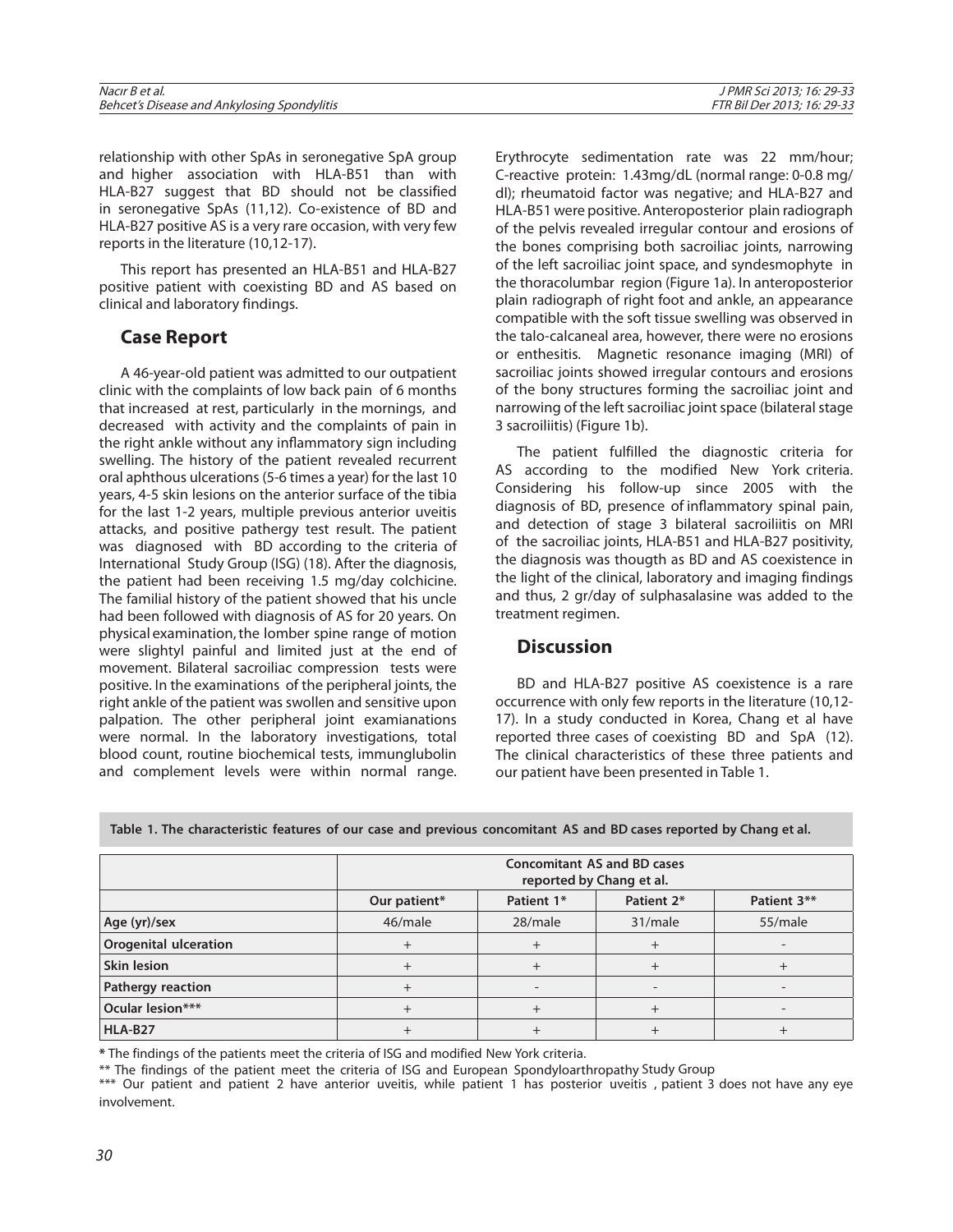| Nacır B<br>et al<br>Behcet's Disease and Ankylosing S<br>Spondylitis | 16:29-33<br>' PMR<br>$2013 \leq r$<br>Der 2013: 16: 29-33<br>$\kappa$ |
|----------------------------------------------------------------------|-----------------------------------------------------------------------|
|                                                                      |                                                                       |

relationship with other SpAs in seronegative SpA group and higher association with HLA-B51 than with HLA-B27 suggest that BD should not be classified in seronegative SpAs (11,12). Co-existence of BD and HLA-B27 positive AS is a very rare occasion, with very few reports in the literature (10,12-17).

This report has presented an HLA-B51 and HLA-B27 positive patient with coexisting BD and AS based on clinical and laboratory findings.

## **Case Report**

A 46-year-old patient was admitted to our outpatient clinic with the complaints of low back pain of 6 months that increased at rest, particularly in the mornings, and decreased with activity and the complaints of pain in the right ankle without any inflammatory sign including swelling. The history of the patient revealed recurrent oral aphthous ulcerations (5-6 times a year) for the last 10 years, 4-5 skin lesions on the anterior surface of the tibia for the last 1-2 years, multiple previous anterior uveitis attacks, and positive pathergy test result. The patient was diagnosed with BD according to the criteria of International Study Group (ISG) (18). After the diagnosis, the patient had been receiving 1.5 mg/day colchicine. The familial history of the patient showed that his uncle had been followed with diagnosis of AS for 20 years. On physical examination, the lomber spine range of motion were slightyl painful and limited just at the end of movement. Bilateral sacroiliac compression tests were positive. In the examinations of the peripheral joints, the right ankle of the patient was swollen and sensitive upon palpation. The other peripheral joint examianations were normal. In the laboratory investigations, total blood count, routine biochemical tests, immunglubolin and complement levels were within normal range.

Erythrocyte sedimentation rate was 22 mm/hour; C-reactive protein: 1.43mg/dL (normal range: 0-0.8 mg/ dl); rheumatoid factor was negative; and HLA-B27 and HLA-B51 were positive. Anteroposterior plain radiograph of the pelvis revealed irregular contour and erosions of the bones comprising both sacroiliac joints, narrowing of the left sacroiliac joint space, and syndesmophyte in the thoracolumbar region (Figure 1a). In anteroposterior plain radiograph of right foot and ankle, an appearance compatible with the soft tissue swelling was observed in the talo-calcaneal area, however, there were no erosions or enthesitis. Magnetic resonance imaging (MRI) of sacroiliac joints showed irregular contours and erosions of the bony structures forming the sacroiliac joint and narrowing of the left sacroiliac joint space (bilateral stage 3 sacroiliitis) (Figure 1b).

The patient fulfilled the diagnostic criteria for AS according to the modified New York criteria. Considering his follow-up since 2005 with the diagnosis of BD, presence of inflammatory spinal pain, and detection of stage 3 bilateral sacroiliitis on MRI of the sacroiliac joints, HLA-B51 and HLA-B27 positivity, the diagnosis was thougth as BD and AS coexistence in the light of the clinical, laboratory and imaging findings and thus, 2 gr/day of sulphasalasine was added to the treatment regimen.

## **Discussion**

BD and HLA-B27 positive AS coexistence is a rare occurrence with only few reports in the literature (10,12- 17). In a study conducted in Korea, Chang et al have reported three cases of coexisting BD and SpA (12). The clinical characteristics of these three patients and our patient have been presented in Table 1.

|                              | <b>Concomitant AS and BD cases</b><br>reported by Chang et al. |            |            |             |  |
|------------------------------|----------------------------------------------------------------|------------|------------|-------------|--|
|                              | Our patient*                                                   | Patient 1* | Patient 2* | Patient 3** |  |
| Age (yr)/sex                 | 46/male                                                        | 28/male    | 31/male    | 55/male     |  |
| <b>Orogenital ulceration</b> |                                                                |            |            |             |  |
| <b>Skin lesion</b>           |                                                                |            |            |             |  |
| Pathergy reaction            |                                                                |            |            |             |  |
| Ocular lesion***             |                                                                |            |            |             |  |
| HLA-B27                      |                                                                |            |            |             |  |

**Table 1. The characteristic features of our case and previous concomitant AS and BD cases reported by Chang et al.**

**\*** The findings of the patients meet the criteria of ISG and modified New York criteria.

\*\* The findings of the patient meet the criteria of ISG and European Spondyloarthropathy Study Group

\*\*\* Our patient and patient 2 have anterior uveitis, while patient 1 has posterior uveitis , patient 3 does not have any eye involvement.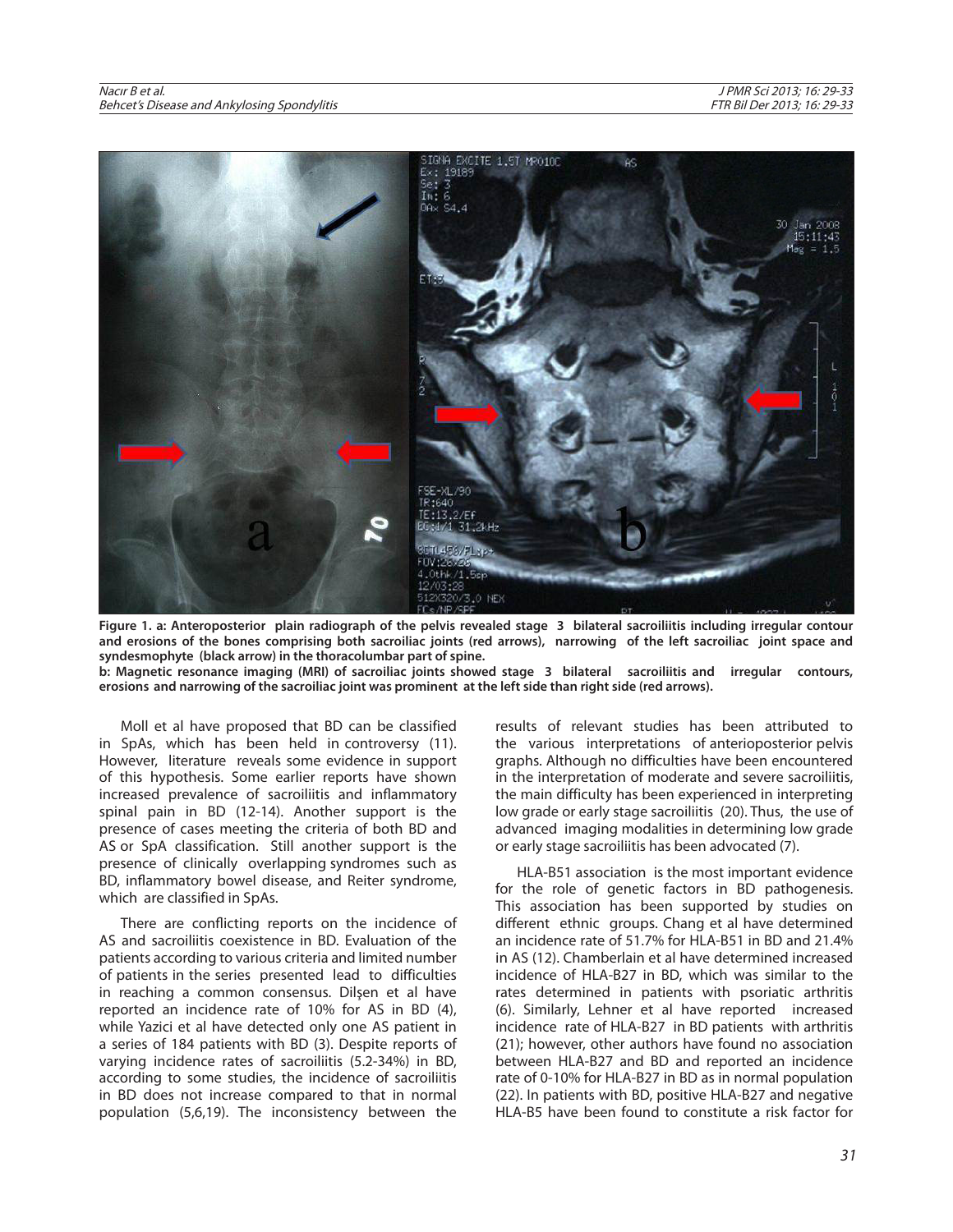

**Figure 1. a: Anteroposterior plain radiograph of the pelvis revealed stage 3 bilateral sacroiliitis including irregular contour and erosions of the bones comprising both sacroiliac joints (red arrows), narrowing of the left sacroiliac joint space and syndesmophyte (black arrow) in the thoracolumbar part of spine.** 

**b: Magnetic resonance imaging (MRI) of sacroiliac joints showed stage 3 bilateral sacroiliitis and irregular contours, erosions and narrowing of the sacroiliac joint was prominent at the left side than right side (red arrows).**

Moll et al have proposed that BD can be classified in SpAs, which has been held in controversy (11). However, literature reveals some evidence in support of this hypothesis. Some earlier reports have shown increased prevalence of sacroiliitis and inflammatory spinal pain in BD (12-14). Another support is the presence of cases meeting the criteria of both BD and AS or SpA classification. Still another support is the presence of clinically overlapping syndromes such as BD, inflammatory bowel disease, and Reiter syndrome, which are classified in SpAs.

There are conflicting reports on the incidence of AS and sacroiliitis coexistence in BD. Evaluation of the patients according to various criteria and limited number of patients in the series presented lead to difficulties in reaching a common consensus. Dilşen et al have reported an incidence rate of 10% for AS in BD (4), while Yazici et al have detected only one AS patient in a series of 184 patients with BD (3). Despite reports of varying incidence rates of sacroiliitis (5.2-34%) in BD, according to some studies, the incidence of sacroiliitis in BD does not increase compared to that in normal population (5,6,19). The inconsistency between the

results of relevant studies has been attributed to the various interpretations of anterioposterior pelvis graphs. Although no difficulties have been encountered in the interpretation of moderate and severe sacroiliitis, the main difficulty has been experienced in interpreting low grade or early stage sacroiliitis (20). Thus, the use of advanced imaging modalities in determining low grade or early stage sacroiliitis has been advocated (7).

HLA-B51 association is the most important evidence for the role of genetic factors in BD pathogenesis. This association has been supported by studies on different ethnic groups. Chang et al have determined an incidence rate of 51.7% for HLA-B51 in BD and 21.4% in AS (12). Chamberlain et al have determined increased incidence of HLA-B27 in BD, which was similar to the rates determined in patients with psoriatic arthritis (6). Similarly, Lehner et al have reported increased incidence rate of HLA-B27 in BD patients with arthritis (21); however, other authors have found no association between HLA-B27 and BD and reported an incidence rate of 0-10% for HLA-B27 in BD as in normal population (22). In patients with BD, positive HLA-B27 and negative HLA-B5 have been found to constitute a risk factor for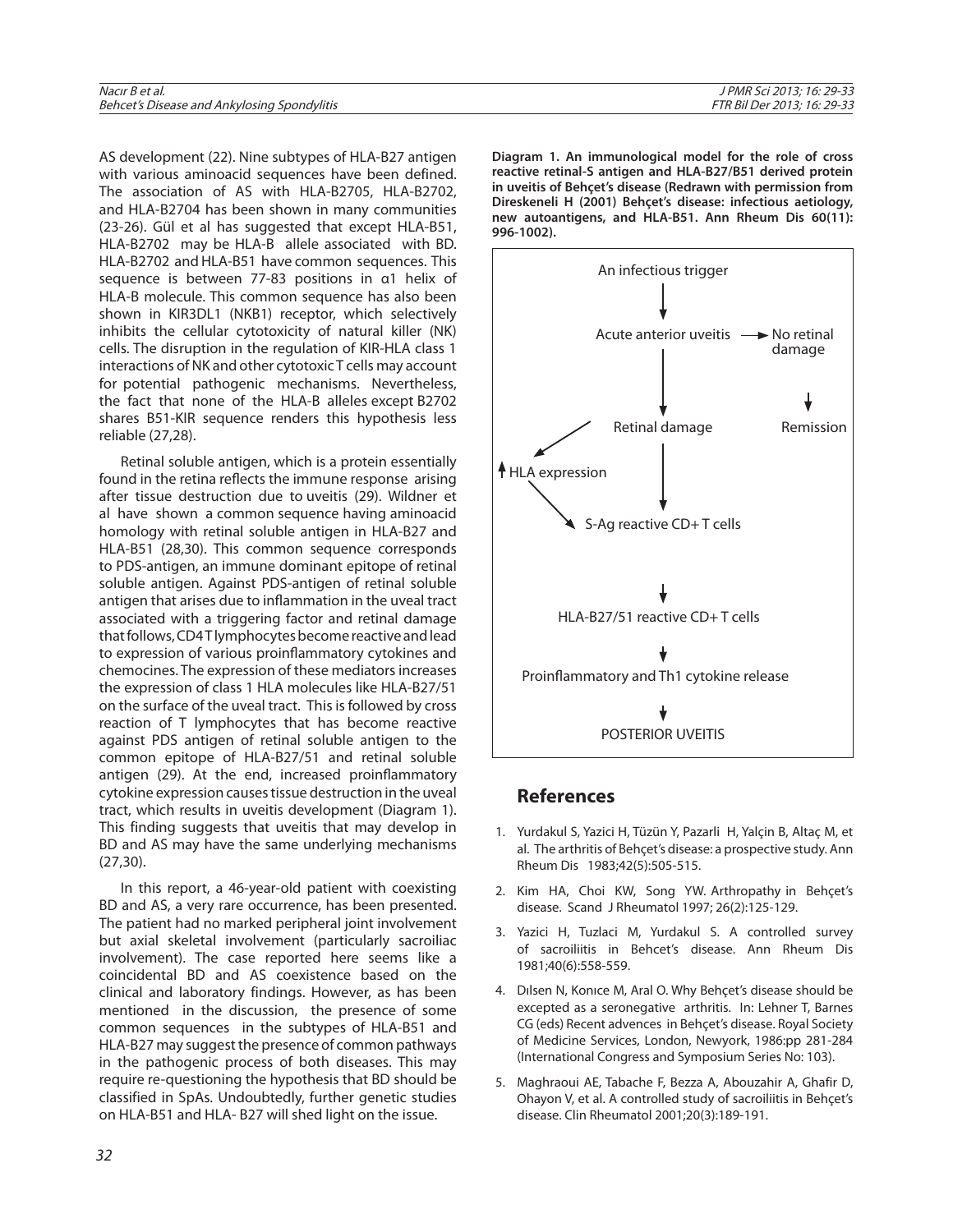| Nacır B et al.                              | I PMR Sci 2013: 16: 29-33          |
|---------------------------------------------|------------------------------------|
| Behcet's Disease and Ankylosing Spondylitis | <i>FTR Bil Der 2013: 16: 29-33</i> |
|                                             |                                    |

AS development (22). Nine subtypes of HLA-B27 antigen with various aminoacid sequences have been defined. The association of AS with HLA-B2705, HLA-B2702, and HLA-B2704 has been shown in many communities (23-26). Gül et al has suggested that except HLA-B51, HLA-B2702 may be HLA-B allele associated with BD. HLA-B2702 and HLA-B51 have common sequences. This sequence is between 77-83 positions in α1 helix of HLA-B molecule. This common sequence has also been shown in KIR3DL1 (NKB1) receptor, which selectively inhibits the cellular cytotoxicity of natural killer (NK) cells. The disruption in the regulation of KIR-HLA class 1 interactions of NK and other cytotoxic T cells may account for potential pathogenic mechanisms. Nevertheless, the fact that none of the HLA-B alleles except B2702 shares B51-KIR sequence renders this hypothesis less reliable (27,28).

Retinal soluble antigen, which is a protein essentially found in the retina reflects the immune response arising after tissue destruction due to uveitis (29). Wildner et al have shown a common sequence having aminoacid homology with retinal soluble antigen in HLA-B27 and HLA-B51 (28,30). This common sequence corresponds to PDS-antigen, an immune dominant epitope of retinal soluble antigen. Against PDS-antigen of retinal soluble antigen that arises due to inflammation in the uveal tract associated with a triggering factor and retinal damage that follows, CD4 T lymphocytes become reactive and lead to expression of various proinflammatory cytokines and chemocines. The expression of these mediators increases the expression of class 1 HLA molecules like HLA-B27/51 on the surface of the uveal tract. This is followed by cross reaction of T lymphocytes that has become reactive against PDS antigen of retinal soluble antigen to the common epitope of HLA-B27/51 and retinal soluble antigen (29). At the end, increased proinflammatory cytokine expression causes tissue destruction in the uveal tract, which results in uveitis development (Diagram 1). This finding suggests that uveitis that may develop in BD and AS may have the same underlying mechanisms (27,30).

In this report, a 46-year-old patient with coexisting BD and AS, a very rare occurrence, has been presented. The patient had no marked peripheral joint involvement but axial skeletal involvement (particularly sacroiliac involvement). The case reported here seems like a coincidental BD and AS coexistence based on the clinical and laboratory findings. However, as has been mentioned in the discussion, the presence of some common sequences in the subtypes of HLA-B51 and HLA-B27 may suggest the presence of common pathways in the pathogenic process of both diseases. This may require re-questioning the hypothesis that BD should be classified in SpAs. Undoubtedly, further genetic studies on HLA-B51 and HLA- B27 will shed light on the issue.

**Diagram 1. An immunological model for the role of cross reactive retinal-S antigen and HLA-B27/B51 derived protein in uveitis of Behçet's disease (Redrawn with permission from Direskeneli H (2001) Behçet's disease: infectious aetiology, new autoantigens, and HLA-B51. Ann Rheum Dis 60(11): 996-1002).**



## **References**

- 1. Yurdakul S, Yazici H, Tüzün Y, Pazarli H, Yalçin B, Altaç M, et al. The arthritis of Behçet's disease: a prospective study. Ann Rheum Dis 1983;42(5):505-515.
- 2. Kim HA, Choi KW, Song YW. Arthropathy in Behçet's disease. Scand J Rheumatol 1997; 26(2):125-129.
- 3. Yazici H, Tuzlaci M, Yurdakul S. A controlled survey of sacroiliitis in Behcet's disease. Ann Rheum Dis 1981;40(6):558-559.
- 4. Dılsen N, Konıce M, Aral O. Why Behçet's disease should be excepted as a seronegative arthritis. In: Lehner T, Barnes CG (eds) Recent advences in Behçet's disease. Royal Society of Medicine Services, London, Newyork, 1986:pp 281-284 (International Congress and Symposium Series No: 103).
- 5. Maghraoui AE, Tabache F, Bezza A, Abouzahir A, Ghafir D, Ohayon V, et al. A controlled study of sacroiliitis in Behçet's disease. Clin Rheumatol 2001;20(3):189-191.